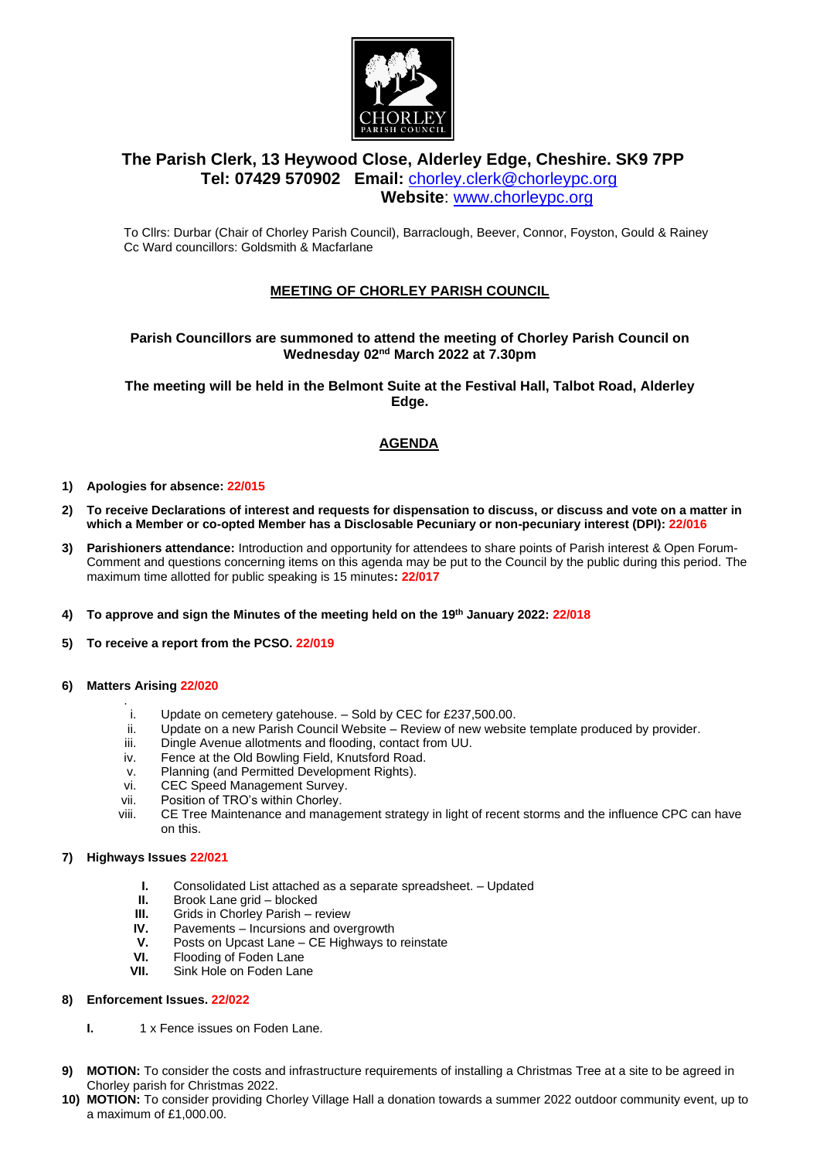

# **The Parish Clerk, 13 Heywood Close, Alderley Edge, Cheshire. SK9 7PP Tel: 07429 570902 Email:** [chorley.clerk@chorleypc.org](mailto:chorley.clerk@chorleypc.org) **Website**: [www.chorleypc.org](http://www.chorleypc.org/)

To Cllrs: Durbar (Chair of Chorley Parish Council), Barraclough, Beever, Connor, Foyston, Gould & Rainey Cc Ward councillors: Goldsmith & Macfarlane

## **MEETING OF CHORLEY PARISH COUNCIL**

## **Parish Councillors are summoned to attend the meeting of Chorley Parish Council on Wednesday 02nd March 2022 at 7.30pm**

**The meeting will be held in the Belmont Suite at the Festival Hall, Talbot Road, Alderley Edge.**

## **AGENDA**

- **1) Apologies for absence: 22/015**
- **2) To receive Declarations of interest and requests for dispensation to discuss, or discuss and vote on a matter in which a Member or co-opted Member has a Disclosable Pecuniary or non-pecuniary interest (DPI): 22/016**
- **3) Parishioners attendance:** Introduction and opportunity for attendees to share points of Parish interest & Open Forum-Comment and questions concerning items on this agenda may be put to the Council by the public during this period. The maximum time allotted for public speaking is 15 minutes**: 22/017**
- **4) To approve and sign the Minutes of the meeting held on the 19th January 2022: 22/018**
- **5) To receive a report from the PCSO. 22/019**
- **6) Matters Arising 22/020**
	- . i. Update on cemetery gatehouse. – Sold by CEC for £237,500.00.
	- ii. Update on a new Parish Council Website Review of new website template produced by provider.
	- iii. Dingle Avenue allotments and flooding, contact from UU.
	- iv. Fence at the Old Bowling Field, Knutsford Road.
	- v. Planning (and Permitted Development Rights).
	- vi. CEC Speed Management Survey.
	- vii. Position of TRO's within Chorley.
	- viii. CE Tree Maintenance and management strategy in light of recent storms and the influence CPC can have on this.

## **7) Highways Issues 22/021**

- **I.** Consolidated List attached as a separate spreadsheet. Updated
- **II.** Brook Lane grid blocked<br>**III.** Grids in Chorley Parish re
- **III.** Grids in Chorley Parish review<br>**IV.** Pavements Incursions and ove
- **IV.** Pavements Incursions and overgrowth
- **V.** Posts on Upcast Lane CE Highways to reinstate
- **VI.** Flooding of Foden Lane<br>**VII.** Sink Hole on Foden Lan
- Sink Hole on Foden Lane

## **8) Enforcement Issues. 22/022**

- **I.** 1 x Fence issues on Foden Lane.
- **9) MOTION:** To consider the costs and infrastructure requirements of installing a Christmas Tree at a site to be agreed in Chorley parish for Christmas 2022.
- **10) MOTION:** To consider providing Chorley Village Hall a donation towards a summer 2022 outdoor community event, up to a maximum of £1,000.00.